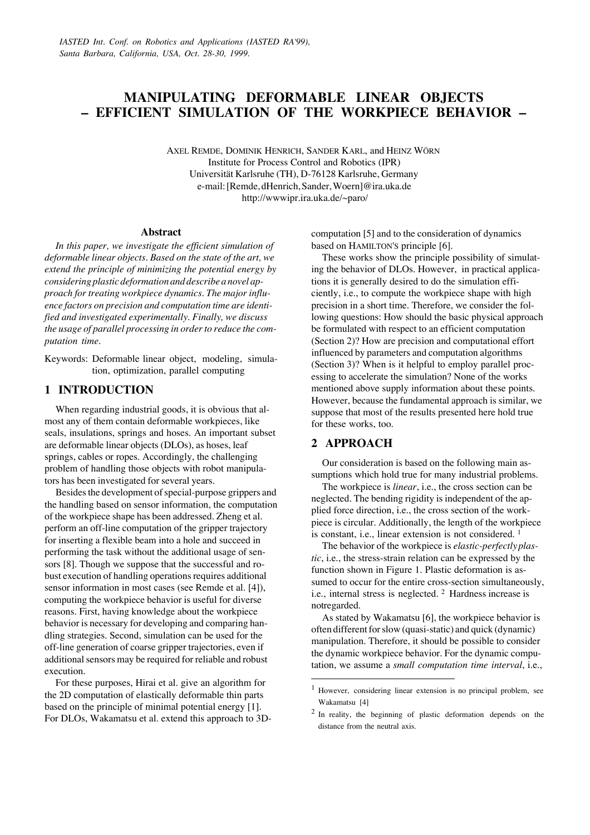# **MANIPULATING DEFORMABLE LINEAR OBJECTS – EFFICIENT SIMULATION OF THE WORKPIECE BEHAVIOR –**

AXEL REMDE, DOMINIK HENRICH, SANDER KARL, and HEINZ WÖRN Institute for Process Control and Robotics (IPR) Universität Karlsruhe (TH), D-76128 Karlsruhe, Germany e-mail: [Remde, dHenrich, Sander, Woern]@ira.uka.de http://wwwipr.ira.uka.de/~paro/

#### **Abstract**

*In this paper, we investigate the efficient simulation of deformable linear objects. Based on the state of the art, we extend the principle of minimizing the potential energy by considering plastic deformation and describe a novel approach for treating workpiece dynamics. The major influence factors on precision and computation time are identified and investigated experimentally. Finally, we discuss the usage of parallel processing in order to reduce the computation time.*

Keywords: Deformable linear object, modeling, simulation, optimization, parallel computing

### **1 INTRODUCTION**

When regarding industrial goods, it is obvious that almost any of them contain deformable workpieces, like seals, insulations, springs and hoses. An important subset are deformable linear objects (DLOs), as hoses, leaf springs, cables or ropes. Accordingly, the challenging problem of handling those objects with robot manipulators has been investigated for several years.

Besides the development of special-purpose grippers and the handling based on sensor information, the computation of the workpiece shape has been addressed. Zheng et al. perform an off-line computation of the gripper trajectory for inserting a flexible beam into a hole and succeed in performing the task without the additional usage of sensors [8]. Though we suppose that the successful and robust execution of handling operations requires additional sensor information in most cases (see Remde et al. [4]), computing the workpiece behavior is useful for diverse reasons. First, having knowledge about the workpiece behavior is necessary for developing and comparing handling strategies. Second, simulation can be used for the off-line generation of coarse gripper trajectories, even if additional sensors may be required for reliable and robust execution.

For these purposes, Hirai et al. give an algorithm for the 2D computation of elastically deformable thin parts based on the principle of minimal potential energy [1]. For DLOs, Wakamatsu et al. extend this approach to 3D- computation [5] and to the consideration of dynamics based on HAMILTON'S principle [6].

These works show the principle possibility of simulating the behavior of DLOs. However, in practical applications it is generally desired to do the simulation efficiently, i.e., to compute the workpiece shape with high precision in a short time. Therefore, we consider the following questions: How should the basic physical approach be formulated with respect to an efficient computation (Section 2)? How are precision and computational effort influenced by parameters and computation algorithms (Section 3)? When is it helpful to employ parallel processing to accelerate the simulation? None of the works mentioned above supply information about these points. However, because the fundamental approach is similar, we suppose that most of the results presented here hold true for these works, too.

## **2 APPROACH**

 $\overline{a}$ 

Our consideration is based on the following main assumptions which hold true for many industrial problems.

The workpiece is *linear*, i.e., the cross section can be neglected. The bending rigidity is independent of the applied force direction, i.e., the cross section of the workpiece is circular. Additionally, the length of the workpiece is constant, i.e., linear extension is not considered.<sup>1</sup>

The behavior of the workpiece is *elastic-perfectly plastic*, i.e., the stress-strain relation can be expressed by the function shown in Figure 1. Plastic deformation is assumed to occur for the entire cross-section simultaneously, i.e., internal stress is neglected. <sup>2</sup> Hardness increase is not regarded.

As stated by Wakamatsu [6], the workpiece behavior is often different for slow (quasi-static) and quick (dynamic) manipulation. Therefore, it should be possible to consider the dynamic workpiece behavior. For the dynamic computation, we assume a *small computation time interval*, i.e.,

 $<sup>1</sup>$  However, considering linear extension is no principal problem, see</sup> Wakamatsu [4]

<sup>&</sup>lt;sup>2</sup> In reality, the beginning of plastic deformation depends on the distance from the neutral axis.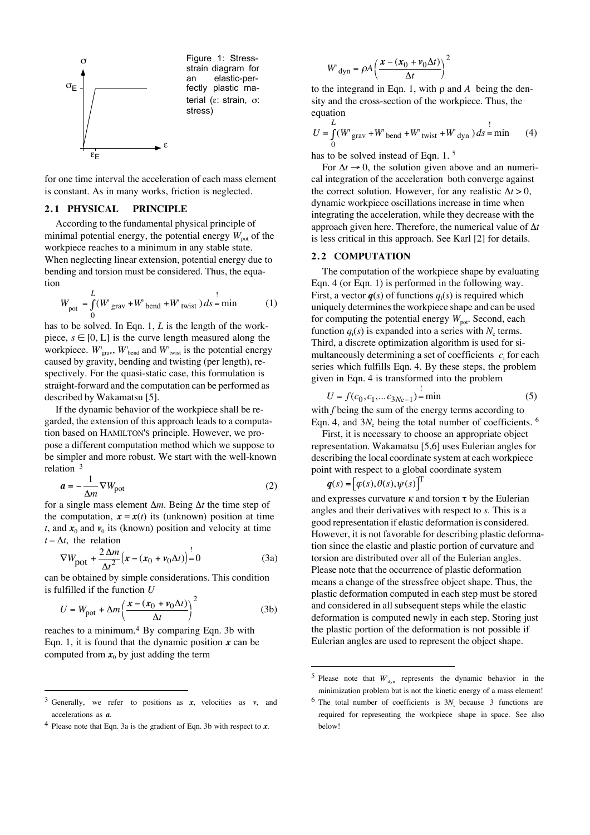

for one time interval the acceleration of each mass element is constant. As in many works, friction is neglected.

#### **2. 1 PHYSICAL PRINCIPLE**

According to the fundamental physical principle of minimal potential energy, the potential energy  $W_{\text{pot}}$  of the workpiece reaches to a minimum in any stable state. When neglecting linear extension, potential energy due to bending and torsion must be considered. Thus, the equation

$$
W_{\text{pot}} = \int_{0}^{L} (W_{\text{grav}} + W_{\text{bend}} + W_{\text{twist}}) ds = \min_{0} \tag{1}
$$

has to be solved. In Eqn. 1, *L* is the length of the workpiece,  $s \in [0, L]$  is the curve length measured along the workpiece.  $W'_{grav}$ ,  $W'_{bend}$  and  $W'_{twist}$  is the potential energy caused by gravity, bending and twisting (per length), respectively. For the quasi-static case, this formulation is straight-forward and the computation can be performed as described by Wakamatsu [5].

If the dynamic behavior of the workpiece shall be regarded, the extension of this approach leads to a computation based on HAMILTON'S principle. However, we propose a different computation method which we suppose to be simpler and more robust. We start with the well-known relation <sup>3</sup>

$$
a = -\frac{1}{\Delta m} \nabla W_{\text{pot}}
$$
 (2)

for a single mass element  $\Delta m$ . Being  $\Delta t$  the time step of the computation,  $\mathbf{x} = \mathbf{x}(t)$  its (unknown) position at time *t*, and  $x_0$  and  $v_0$  its (known) position and velocity at time  $t - \Delta t$ , the relation

$$
\nabla W_{\text{pot}} + \frac{2\Delta m}{\Delta t^2} \left( x - (x_0 + v_0 \Delta t) \right) = 0 \tag{3a}
$$

can be obtained by simple considerations. This condition is fulfilled if the function *U*

$$
U = W_{\text{pot}} + \Delta m \left( \frac{x - (x_0 + v_0 \Delta t)}{\Delta t} \right)^2 \tag{3b}
$$

reaches to a minimum.<sup>4</sup> By comparing Eqn. 3b with Eqn. 1, it is found that the dynamic position  $x$  can be computed from  $x_0$  by just adding the term

 $\overline{a}$ 

$$
W_{\rm dyn} = \rho A \left( \frac{x - (x_0 + v_0 \Delta t)}{\Delta t} \right)^2
$$

to the integrand in Eqn. 1, with  $\rho$  and  $A$  being the density and the cross-section of the workpiece. Thus, the equation

$$
U = \int_{0}^{L} (W_{grav} + W_{bend} + W_{twist} + W_{dyn}) ds = \min_{(4)}
$$

has to be solved instead of Eqn. 1.<sup>5</sup>

For  $\Delta t \rightarrow 0$ , the solution given above and an numerical integration of the acceleration both converge against the correct solution. However, for any realistic  $\Delta t > 0$ , dynamic workpiece oscillations increase in time when integrating the acceleration, while they decrease with the approach given here. Therefore, the numerical value of  $\Delta t$ is less critical in this approach. See Karl [2] for details.

#### **2. 2 COMPUTATION**

The computation of the workpiece shape by evaluating Eqn. 4 (or Eqn. 1) is performed in the following way. First, a vector *q*(*s*) of functions *q*<sup>i</sup> (*s*) is required which uniquely determines the workpiece shape and can be used for computing the potential energy  $W_{pot}$ . Second, each function  $q_i(s)$  is expanded into a series with  $N_c$  terms. Third, a discrete optimization algorithm is used for simultaneously determining a set of coefficients  $c_i$  for each series which fulfills Eqn. 4. By these steps, the problem given in Eqn. 4 is transformed into the problem

$$
U = f(c_0, c_1, \dots c_{3Nc-1}) = \min
$$
 (5)

with *f* being the sum of the energy terms according to Eqn. 4, and  $3N_c$  being the total number of coefficients.  $6$ 

First, it is necessary to choose an appropriate object representation. Wakamatsu [5,6] uses Eulerian angles for describing the local coordinate system at each workpiece point with respect to a global coordinate system

$$
\boldsymbol{q}(s) = [\varphi(s), \theta(s), \psi(s)]^{\mathrm{T}}
$$

 $\overline{a}$ 

and expresses curvature  $\kappa$  and torsion  $\tau$  by the Eulerian angles and their derivatives with respect to *s*. This is a good representation if elastic deformation is considered. However, it is not favorable for describing plastic deformation since the elastic and plastic portion of curvature and torsion are distributed over all of the Eulerian angles. Please note that the occurrence of plastic deformation means a change of the stressfree object shape. Thus, the plastic deformation computed in each step must be stored and considered in all subsequent steps while the elastic deformation is computed newly in each step. Storing just the plastic portion of the deformation is not possible if Eulerian angles are used to represent the object shape.

<sup>3</sup> Generally, we refer to positions as *x*, velocities as *v*, and accelerations as *a*.

<sup>4</sup> Please note that Eqn. 3a is the gradient of Eqn. 3b with respect to *x*.

<sup>&</sup>lt;sup>5</sup> Please note that  $W_{dyn}$  represents the dynamic behavior in the minimization problem but is not the kinetic energy of a mass element!

<sup>&</sup>lt;sup>6</sup> The total number of coefficients is  $3N_c$  because 3 functions are required for representing the workpiece shape in space. See also below!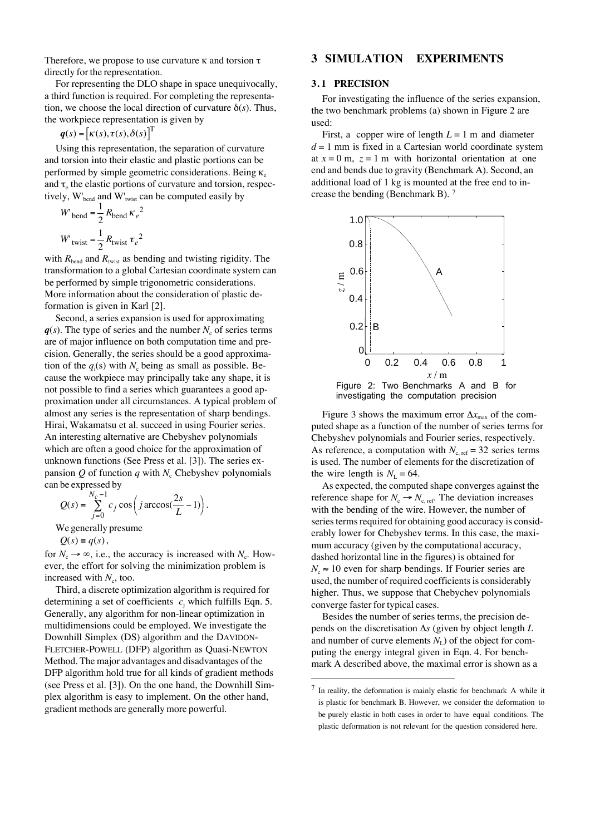Therefore, we propose to use curvature  $\kappa$  and torsion  $\tau$ directly for the representation.

For representing the DLO shape in space unequivocally, a third function is required. For completing the representation, we choose the local direction of curvature  $\delta(s)$ . Thus, the workpiece representation is given by

 $q(s) = [K(s), \tau(s), \delta(s)]^T$ 

Using this representation, the separation of curvature and torsion into their elastic and plastic portions can be performed by simple geometric considerations. Being  $\kappa_e$ and  $\tau_e$  the elastic portions of curvature and torsion, respectively,  $W'_{bend}$  and  $W'_{twist}$  can be computed easily by

$$
W_{\text{bend}} = \frac{1}{2} R_{\text{bend}} \kappa_e^2
$$

$$
W_{\text{twist}} = \frac{1}{2} R_{\text{twist}} \tau_e^2
$$

with  $R_{\text{bend}}$  and  $R_{\text{twist}}$  as bending and twisting rigidity. The transformation to a global Cartesian coordinate system can be performed by simple trigonometric considerations. More information about the consideration of plastic deformation is given in Karl [2].

Second, a series expansion is used for approximating  $q(s)$ . The type of series and the number  $N_c$  of series terms are of major influence on both computation time and precision. Generally, the series should be a good approximation of the  $q_i(s)$  with  $N_c$  being as small as possible. Because the workpiece may principally take any shape, it is not possible to find a series which guarantees a good approximation under all circumstances. A typical problem of almost any series is the representation of sharp bendings. Hirai, Wakamatsu et al. succeed in using Fourier series. An interesting alternative are Chebyshev polynomials which are often a good choice for the approximation of unknown functions (See Press et al. [3]). The series expansion  $Q$  of function  $q$  with  $N_c$  Chebyshev polynomials can be expressed by

$$
Q(s) = \sum_{j=0}^{N_c - 1} c_j \cos\left(j \arccos\left(\frac{2s}{L} - 1\right)\right).
$$

We generally presume

 $Q(s) = q(s)$ ,

for  $N_c \rightarrow \infty$ , i.e., the accuracy is increased with  $N_c$ . However, the effort for solving the minimization problem is increased with  $N_c$ , too.

Third, a discrete optimization algorithm is required for determining a set of coefficients  $c_j$  which fulfills Eqn. 5. Generally, any algorithm for non-linear optimization in multidimensions could be employed. We investigate the Downhill Simplex (DS) algorithm and the DAVIDON-FLETCHER-POWELL (DFP) algorithm as Quasi-NEWTON Method. The major advantages and disadvantages of the DFP algorithm hold true for all kinds of gradient methods (see Press et al. [3]). On the one hand, the Downhill Simplex algorithm is easy to implement. On the other hand, gradient methods are generally more powerful.

## **3 SIMULATION EXPERIMENTS**

#### **3. 1 PRECISION**

For investigating the influence of the series expansion, the two benchmark problems (a) shown in Figure 2 are used:

First, a copper wire of length  $L = 1$  m and diameter  $d = 1$  mm is fixed in a Cartesian world coordinate system at  $x = 0$  m,  $z = 1$  m with horizontal orientation at one end and bends due to gravity (Benchmark A). Second, an additional load of 1 kg is mounted at the free end to increase the bending (Benchmark B). <sup>7</sup>



Figure 2: Two Benchmarks A and B for investigating the computation precision

Figure 3 shows the maximum error  $\Delta x_{\text{max}}$  of the computed shape as a function of the number of series terms for Chebyshev polynomials and Fourier series, respectively. As reference, a computation with  $N_{c, ref} = 32$  series terms is used. The number of elements for the discretization of the wire length is  $N_L = 64$ .

As expected, the computed shape converges against the reference shape for  $N_c \rightarrow N_{c, ref}$ . The deviation increases with the bending of the wire. However, the number of series terms required for obtaining good accuracy is considerably lower for Chebyshev terms. In this case, the maximum accuracy (given by the computational accuracy, dashed horizontal line in the figures) is obtained for  $N_c \approx 10$  even for sharp bendings. If Fourier series are used, the number of required coefficients is considerably higher. Thus, we suppose that Chebychev polynomials converge faster for typical cases.

Besides the number of series terms, the precision depends on the discretisation  $\Delta s$  (given by object length  $L$ and number of curve elements  $N_{\rm L}$ ) of the object for computing the energy integral given in Eqn. 4. For benchmark A described above, the maximal error is shown as a

 $\overline{a}$ 

<sup>&</sup>lt;sup>7</sup> In reality, the deformation is mainly elastic for benchmark A while it is plastic for benchmark B. However, we consider the deformation to be purely elastic in both cases in order to have equal conditions. The plastic deformation is not relevant for the question considered here.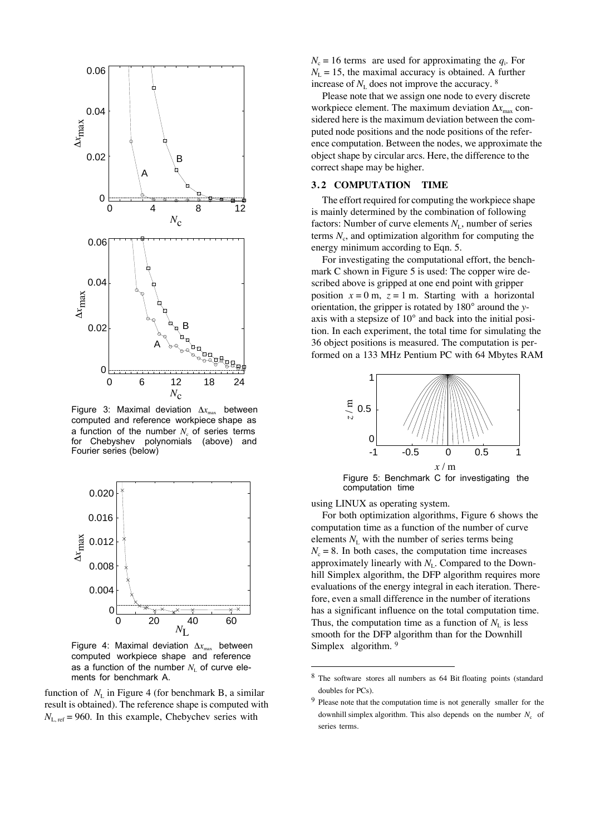

Figure 3: Maximal deviation  $\Delta x_{\text{max}}$  between computed and reference workpiece shape as a function of the number  $N_c$  of series terms for Chebyshev polynomials (above) and Fourier series (below)



Figure 4: Maximal deviation  $\Delta x_{\text{max}}$  between computed workpiece shape and reference as a function of the number  $N_{\text{\tiny L}}$  of curve elements for benchmark A.

function of  $N<sub>L</sub>$  in Figure 4 (for benchmark B, a similar result is obtained). The reference shape is computed with  $N_{\text{L, ref}} = 960$ . In this example, Chebychev series with

 $N_c = 16$  terms are used for approximating the  $q_i$ . For  $N_{\rm L}$  = 15, the maximal accuracy is obtained. A further increase of  $N_{\rm L}$  does not improve the accuracy.  $8$ 

Please note that we assign one node to every discrete workpiece element. The maximum deviation  $\Delta x_{\text{max}}$  considered here is the maximum deviation between the computed node positions and the node positions of the reference computation. Between the nodes, we approximate the object shape by circular arcs. Here, the difference to the correct shape may be higher.

### **3. 2 COMPUTATION TIME**

The effort required for computing the workpiece shape is mainly determined by the combination of following factors: Number of curve elements  $N_{\rm L}$ , number of series terms  $N_c$ , and optimization algorithm for computing the energy minimum according to Eqn. 5.

For investigating the computational effort, the benchmark C shown in Figure 5 is used: The copper wire described above is gripped at one end point with gripper position  $x = 0$  m,  $z = 1$  m. Starting with a horizontal orientation, the gripper is rotated by 180° around the *y*axis with a stepsize of 10° and back into the initial position. In each experiment, the total time for simulating the 36 object positions is measured. The computation is performed on a 133 MHz Pentium PC with 64 Mbytes RAM



Figure 5: Benchmark C for investigating the computation time

using LINUX as operating system.

 $\overline{a}$ 

For both optimization algorithms, Figure 6 shows the computation time as a function of the number of curve elements  $N_{\rm L}$  with the number of series terms being  $N_c = 8$ . In both cases, the computation time increases approximately linearly with  $N<sub>L</sub>$ . Compared to the Downhill Simplex algorithm, the DFP algorithm requires more evaluations of the energy integral in each iteration. Therefore, even a small difference in the number of iterations has a significant influence on the total computation time. Thus, the computation time as a function of  $N<sub>L</sub>$  is less smooth for the DFP algorithm than for the Downhill Simplex algorithm. 9

<sup>8</sup> The software stores all numbers as 64 Bit floating points (standard doubles for PCs).

<sup>&</sup>lt;sup>9</sup> Please note that the computation time is not generally smaller for the downhill simplex algorithm. This also depends on the number  $N_c$  of series terms.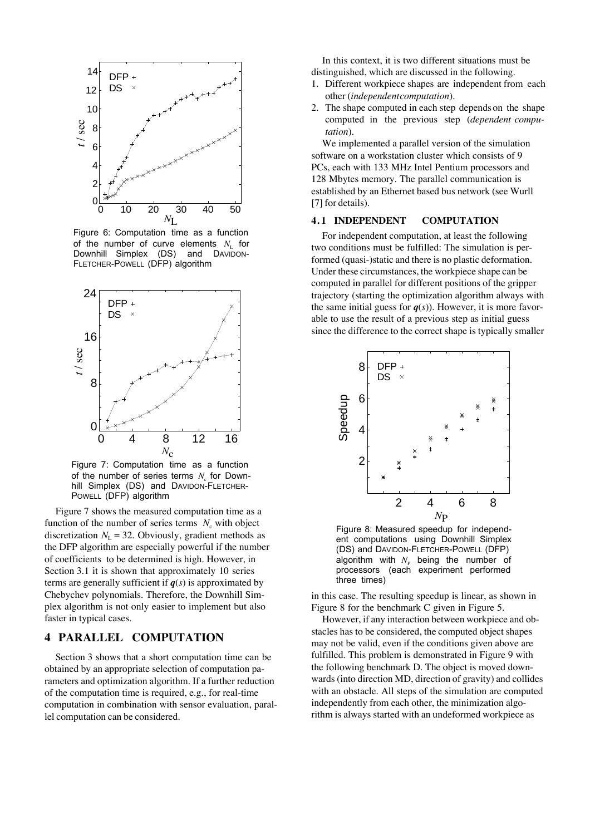

Figure 6: Computation time as a function of the number of curve elements  $N_{\text{L}}$  for Downhill Simplex (DS) and DAVIDON-FLETCHER-POWELL (DFP) algorithm



Figure 7: Computation time as a function of the number of series terms  $N_{\text{c}}$  for Downhill Simplex (DS) and DAVIDON-FLETCHER-POWELL (DFP) algorithm

Figure 7 shows the measured computation time as a function of the number of series terms  $N_c$  with object discretization  $N<sub>L</sub>$  = 32. Obviously, gradient methods as the DFP algorithm are especially powerful if the number of coefficients to be determined is high. However, in Section 3.1 it is shown that approximately 10 series terms are generally sufficient if  $q(s)$  is approximated by Chebychev polynomials. Therefore, the Downhill Simplex algorithm is not only easier to implement but also faster in typical cases.

### **4 PARALLEL COMPUTATION**

Section 3 shows that a short computation time can be obtained by an appropriate selection of computation parameters and optimization algorithm. If a further reduction of the computation time is required, e.g., for real-time computation in combination with sensor evaluation, parallel computation can be considered.

In this context, it is two different situations must be distinguished, which are discussed in the following.

- 1. Different workpiece shapes are independent from each other (*independent computation*).
- 2. The shape computed in each step depends on the shape computed in the previous step (*dependent computation*).

We implemented a parallel version of the simulation software on a workstation cluster which consists of 9 PCs, each with 133 MHz Intel Pentium processors and 128 Mbytes memory. The parallel communication is established by an Ethernet based bus network (see Wurll [7] for details).

#### **4. 1 INDEPENDENT COMPUTATION**

For independent computation, at least the following two conditions must be fulfilled: The simulation is performed (quasi-)static and there is no plastic deformation. Under these circumstances, the workpiece shape can be computed in parallel for different positions of the gripper trajectory (starting the optimization algorithm always with the same initial guess for  $q(s)$ ). However, it is more favorable to use the result of a previous step as initial guess since the difference to the correct shape is typically smaller



Figure 8: Measured speedup for independent computations using Downhill Simplex (DS) and DAVIDON-FLETCHER-POWELL (DFP) algorithm with  $N_{\rm P}$  being the number of processors (each experiment performed three times)

in this case. The resulting speedup is linear, as shown in Figure 8 for the benchmark C given in Figure 5.

However, if any interaction between workpiece and obstacles has to be considered, the computed object shapes may not be valid, even if the conditions given above are fulfilled. This problem is demonstrated in Figure 9 with the following benchmark D. The object is moved downwards (into direction MD, direction of gravity) and collides with an obstacle. All steps of the simulation are computed independently from each other, the minimization algorithm is always started with an undeformed workpiece as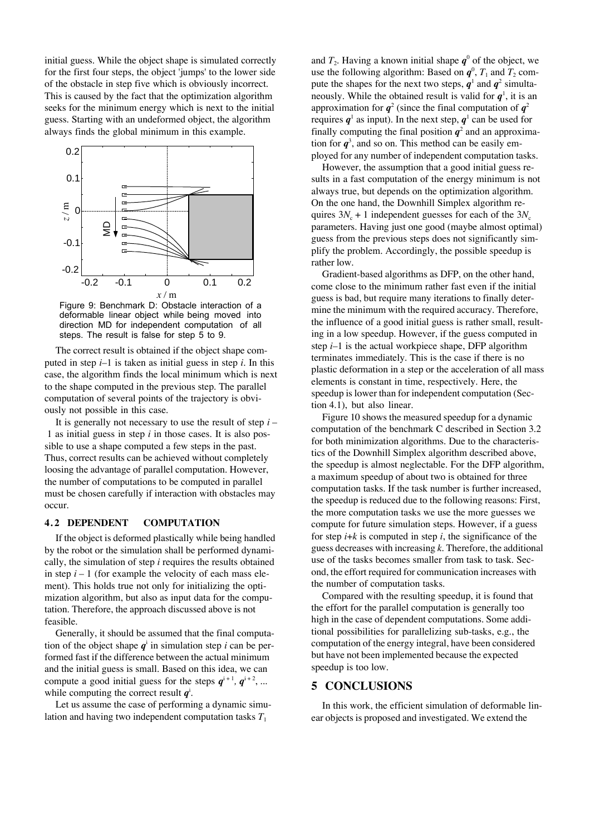initial guess. While the object shape is simulated correctly for the first four steps, the object 'jumps' to the lower side of the obstacle in step five which is obviously incorrect. This is caused by the fact that the optimization algorithm seeks for the minimum energy which is next to the initial guess. Starting with an undeformed object, the algorithm always finds the global minimum in this example.



Figure 9: Benchmark D: Obstacle interaction of a deformable linear object while being moved into direction MD for independent computation of all steps. The result is false for step 5 to 9.

The correct result is obtained if the object shape computed in step *i*–1 is taken as initial guess in step *i*. In this case, the algorithm finds the local minimum which is next to the shape computed in the previous step. The parallel computation of several points of the trajectory is obviously not possible in this case.

It is generally not necessary to use the result of step *i* – 1 as initial guess in step *i* in those cases. It is also possible to use a shape computed a few steps in the past. Thus, correct results can be achieved without completely loosing the advantage of parallel computation. However, the number of computations to be computed in parallel must be chosen carefully if interaction with obstacles may occur.

#### **4. 2 DEPENDENT COMPUTATION**

If the object is deformed plastically while being handled by the robot or the simulation shall be performed dynamically, the simulation of step *i* requires the results obtained in step  $i - 1$  (for example the velocity of each mass element). This holds true not only for initializing the optimization algorithm, but also as input data for the computation. Therefore, the approach discussed above is not feasible.

Generally, it should be assumed that the final computation of the object shape  $q^i$  in simulation step *i* can be performed fast if the difference between the actual minimum and the initial guess is small. Based on this idea, we can compute a good initial guess for the steps  $q^{i+1}$ ,  $q^{i+2}$ , ... while computing the correct result  $q^i$ .

Let us assume the case of performing a dynamic simulation and having two independent computation tasks  $T_1$ 

and  $T_2$ . Having a known initial shape  $q^0$  of the object, we use the following algorithm: Based on  $q^0$ ,  $T_1$  and  $T_2$  compute the shapes for the next two steps,  $q^1$  and  $q^2$  simultaneously. While the obtained result is valid for  $q^1$ , it is an approximation for  $q^2$  (since the final computation of  $q^2$ requires  $q^1$  as input). In the next step,  $q^1$  can be used for finally computing the final position  $q^2$  and an approximation for  $q^3$ , and so on. This method can be easily employed for any number of independent computation tasks.

However, the assumption that a good initial guess results in a fast computation of the energy minimum is not always true, but depends on the optimization algorithm. On the one hand, the Downhill Simplex algorithm requires  $3N_c + 1$  independent guesses for each of the  $3N_c$ parameters. Having just one good (maybe almost optimal) guess from the previous steps does not significantly simplify the problem. Accordingly, the possible speedup is rather low.

Gradient-based algorithms as DFP, on the other hand, come close to the minimum rather fast even if the initial guess is bad, but require many iterations to finally determine the minimum with the required accuracy. Therefore, the influence of a good initial guess is rather small, resulting in a low speedup. However, if the guess computed in step *i*–1 is the actual workpiece shape, DFP algorithm terminates immediately. This is the case if there is no plastic deformation in a step or the acceleration of all mass elements is constant in time, respectively. Here, the speedup is lower than for independent computation (Section 4.1), but also linear.

Figure 10 shows the measured speedup for a dynamic computation of the benchmark C described in Section 3.2 for both minimization algorithms. Due to the characteristics of the Downhill Simplex algorithm described above, the speedup is almost neglectable. For the DFP algorithm, a maximum speedup of about two is obtained for three computation tasks. If the task number is further increased, the speedup is reduced due to the following reasons: First, the more computation tasks we use the more guesses we compute for future simulation steps. However, if a guess for step  $i+k$  is computed in step  $i$ , the significance of the guess decreases with increasing *k*. Therefore, the additional use of the tasks becomes smaller from task to task. Second, the effort required for communication increases with the number of computation tasks.

Compared with the resulting speedup, it is found that the effort for the parallel computation is generally too high in the case of dependent computations. Some additional possibilities for parallelizing sub-tasks, e.g., the computation of the energy integral, have been considered but have not been implemented because the expected speedup is too low.

### **5 CONCLUSIONS**

In this work, the efficient simulation of deformable linear objects is proposed and investigated. We extend the